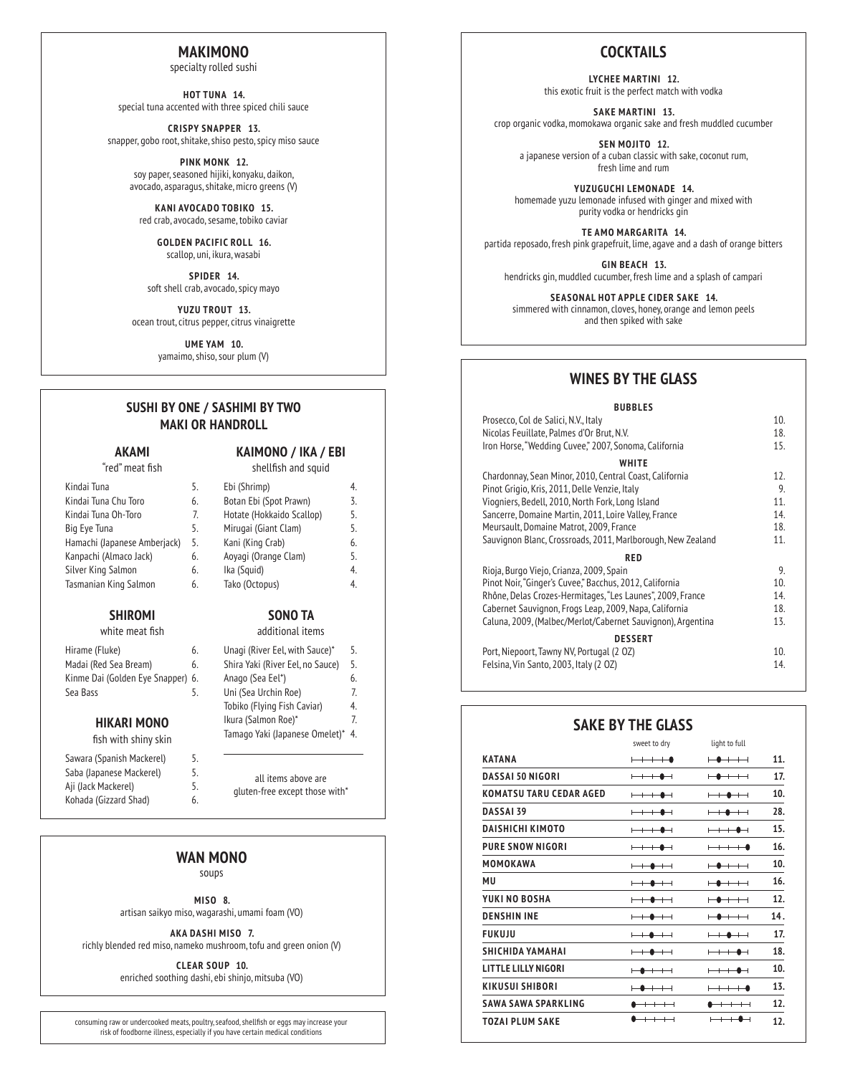### **MAKIMONO**

specialty rolled sushi

**HOT TUNA 14.** special tuna accented with three spiced chili sauce

**CRISPY SNAPPER 13.** snapper, gobo root, shitake, shiso pesto, spicy miso sauce

> **PINK MONK 12.** soy paper, seasoned hijiki, konyaku, daikon, avocado, asparagus, shitake, micro greens (V)

**KANI AVOCADO TOBIKO 15.** red crab, avocado, sesame, tobiko caviar

> **GOLDEN PACIFIC ROLL 16.** scallop, uni, ikura, wasabi

**SPIDER 14.** soft shell crab, avocado, spicy mayo

**YUZU TROUT 13.** ocean trout, citrus pepper, citrus vinaigrette

> **UME YAM 10.** yamaimo, shiso, sour plum (V)

### **SUSHI BY ONE / SASHIMI BY TWO MAKI OR HANDROLL**

### **AKAMI**

#### "red" meat fish

#### **KAIMONO / IKA / EBI** shellfish and squid

| Kindai Tuna                  | 5. | Ebi (Shrimp)              | 4. |
|------------------------------|----|---------------------------|----|
| Kindai Tuna Chu Toro         | 6. | Botan Ebi (Spot Prawn)    | 3. |
| Kindai Tuna Oh-Toro          | 7. | Hotate (Hokkaido Scallop) | 5. |
| Big Eye Tuna                 | 5. | Mirugai (Giant Clam)      | 5. |
| Hamachi (Japanese Amberjack) | 5. | Kani (King Crab)          | 6. |
| Kanpachi (Almaco Jack)       | 6. | Aoyagi (Orange Clam)      | 5. |
| Silver King Salmon           | 6. | Ika (Squid)               | 4. |
| Tasmanian King Salmon        | 6. | Tako (Octopus)            | 4. |
|                              |    |                           |    |

### **SHIROMI**

|  | white meat fish |  |  |
|--|-----------------|--|--|
|--|-----------------|--|--|

| Hirame (Fluke)                    | 6. |
|-----------------------------------|----|
| Madai (Red Sea Bream)             | 6. |
| Kinme Dai (Golden Eye Snapper) 6. |    |
| Sea Bass                          | 5. |
|                                   |    |

### **HIKARI MONO**

fish with shiny skin

| Sawara (Spanish Mackerel) | 5. |
|---------------------------|----|
| Saba (Japanese Mackerel)  | 5. |
| Aji (Jack Mackerel)       | 5. |
| Kohada (Gizzard Shad)     | 6. |

Unagi (River Eel, with Sauce)\* 5. Shira Yaki (River Eel, no Sauce) 5. Anago (Sea Eel\*) 6. Uni (Sea Urchin Roe) 7. Tobiko (Flying Fish Caviar) 4. Ikura (Salmon Roe)\* 7.

Tamago Yaki (Japanese Omelet)\* 4.

all items above are gluten-free except those with\*

### **WAN MONO**

soups

**MISO 8.** artisan saikyo miso, wagarashi, umami foam (VO)

**AKA DASHI MISO 7.** richly blended red miso, nameko mushroom, tofu and green onion (V)

> **CLEAR SOUP 10.** enriched soothing dashi, ebi shinjo, mitsuba (VO)

consuming raw or undercooked meats, poultry, seafood, shellfish or eggs may increase your risk of foodborne illness, especially if you have certain medical conditions

## **COCKTAILS**

**LYCHEE MARTINI 12.** this exotic fruit is the perfect match with vodka

**SAKE MARTINI 13.** crop organic vodka, momokawa organic sake and fresh muddled cucumber

**SEN MOJITO 12.** a japanese version of a cuban classic with sake, coconut rum, fresh lime and rum

**YUZUGUCHI LEMONADE 14.** homemade yuzu lemonade infused with ginger and mixed with purity vodka or hendricks gin

**TE AMO MARGARITA 14.** partida reposado, fresh pink grapefruit, lime, agave and a dash of orange bitters

**GIN BEACH 13.** hendricks gin, muddled cucumber, fresh lime and a splash of campari

**SEASONAL HOT APPLE CIDER SAKE 14.**

simmered with cinnamon, cloves, honey, orange and lemon peels and then spiked with sake

## **WINES BY THE GLASS**

#### **BUBBLES**

| 10. |
|-----|
| 18. |
| 15. |
|     |
| 12. |
| 9.  |
| 11. |
| 14. |
| 18. |
| 11. |
|     |
| 9.  |
| 10. |
| 14. |
| 18. |
| 13. |
|     |
| 10. |
| 14. |
|     |

## **SAKE BY THE GLASS**

|                                | sweet to dry                                                                                                                                                                                                                                                                                                                                                                                                                                                                                                                    | light to full                                                                                                                                                                                                                                                                                                                                                                                                                                                                                                                   |     |
|--------------------------------|---------------------------------------------------------------------------------------------------------------------------------------------------------------------------------------------------------------------------------------------------------------------------------------------------------------------------------------------------------------------------------------------------------------------------------------------------------------------------------------------------------------------------------|---------------------------------------------------------------------------------------------------------------------------------------------------------------------------------------------------------------------------------------------------------------------------------------------------------------------------------------------------------------------------------------------------------------------------------------------------------------------------------------------------------------------------------|-----|
| <b>KATANA</b>                  | $+\,+\,+\,$ $\bullet$                                                                                                                                                                                                                                                                                                                                                                                                                                                                                                           | $\begin{array}{c} \begin{array}{c} \text{\small{--}} \end{array} \end{array}$                                                                                                                                                                                                                                                                                                                                                                                                                                                   | 11. |
| <b>DASSAL 50 NIGORI</b>        | $+\ +$                                                                                                                                                                                                                                                                                                                                                                                                                                                                                                                          | $\begin{array}{c} \begin{array}{c} \text{\small{--}} \end{array} \end{array}$                                                                                                                                                                                                                                                                                                                                                                                                                                                   | 17. |
| <b>KOMATSU TARU CEDAR AGED</b> | $+\ +$                                                                                                                                                                                                                                                                                                                                                                                                                                                                                                                          | $+\bullet$ $+\dashv$                                                                                                                                                                                                                                                                                                                                                                                                                                                                                                            | 10. |
| <b>DASSAI 39</b>               | $+\ +$                                                                                                                                                                                                                                                                                                                                                                                                                                                                                                                          | $\begin{array}{c} \begin{array}{c} \textcolor{red}{\textbf{+}} \ \textcolor{red}{\textbf{+}} \ \textcolor{red}{\textbf{+}} \ \textcolor{red}{\textbf{+}} \ \textcolor{red}{\textbf{+}} \ \textcolor{red}{\textbf{+}} \ \textcolor{red}{\textbf{+}} \ \textcolor{red}{\textbf{+}} \ \textcolor{red}{\textbf{+}} \ \textcolor{red}{\textbf{+}} \ \textcolor{red}{\textbf{+}} \ \textcolor{red}{\textbf{+}} \ \textcolor{red}{\textbf{+}} \ \textcolor{red}{\textbf{+}} \ \textcolor{red}{\textbf{+}} \ \textcolor{red}{\textbf{+$ | 28. |
| <b>DAISHICHI KIMOTO</b>        | $+\!+\!-\!$                                                                                                                                                                                                                                                                                                                                                                                                                                                                                                                     | $+\ +\ \bullet\ +$                                                                                                                                                                                                                                                                                                                                                                                                                                                                                                              | 15. |
| <b>PURE SNOW NIGORI</b>        | $+\!+\!-\!$                                                                                                                                                                                                                                                                                                                                                                                                                                                                                                                     | $+\,+\,+\,$ $\bullet$                                                                                                                                                                                                                                                                                                                                                                                                                                                                                                           | 16. |
| MOMOKAWA                       | $+\bullet$ $+\dashv$                                                                                                                                                                                                                                                                                                                                                                                                                                                                                                            | $-\bullet$ $+\ $                                                                                                                                                                                                                                                                                                                                                                                                                                                                                                                | 10. |
| MU                             | $+\bullet$ $+\dashv$                                                                                                                                                                                                                                                                                                                                                                                                                                                                                                            | $\bullet\, +\, +\,$                                                                                                                                                                                                                                                                                                                                                                                                                                                                                                             | 16. |
| YUKI NO BOSHA                  |                                                                                                                                                                                                                                                                                                                                                                                                                                                                                                                                 | $-\bullet$ $+\ $                                                                                                                                                                                                                                                                                                                                                                                                                                                                                                                | 12. |
| <b>DENSHIN INE</b>             | $+\bullet$ $+$                                                                                                                                                                                                                                                                                                                                                                                                                                                                                                                  | $\begin{array}{c} \begin{array}{c} \text{\small{--}} \end{array} \end{array}$                                                                                                                                                                                                                                                                                                                                                                                                                                                   | 14. |
| <b>FUKUJU</b>                  | $+\bullet$ $+\dashv$                                                                                                                                                                                                                                                                                                                                                                                                                                                                                                            | $\begin{array}{c} \begin{array}{c} \text{++} \end{array} \end{array}$                                                                                                                                                                                                                                                                                                                                                                                                                                                           | 17. |
| <b>SHICHIDA YAMAHAI</b>        | $\begin{array}{c} \begin{array}{c} \textcolor{red}{\textbf{+}} \ \textcolor{red}{\textbf{+}} \ \textcolor{red}{\textbf{+}} \ \textcolor{red}{\textbf{+}} \ \textcolor{red}{\textbf{+}} \ \textcolor{red}{\textbf{+}} \ \textcolor{red}{\textbf{+}} \ \textcolor{red}{\textbf{+}} \ \textcolor{red}{\textbf{+}} \ \textcolor{red}{\textbf{+}} \ \textcolor{red}{\textbf{+}} \ \textcolor{red}{\textbf{+}} \ \textcolor{red}{\textbf{+}} \ \textcolor{red}{\textbf{+}} \ \textcolor{red}{\textbf{+}} \ \textcolor{red}{\textbf{+$ | $+\!+\!-\!$                                                                                                                                                                                                                                                                                                                                                                                                                                                                                                                     | 18. |
| <b>LITTLE LILLY NIGORI</b>     | $\begin{array}{c} \begin{array}{c} \text{\small{--}} \end{array} \end{array}$                                                                                                                                                                                                                                                                                                                                                                                                                                                   | $+\,+\,$ $\bullet$ $\,$                                                                                                                                                                                                                                                                                                                                                                                                                                                                                                         | 10. |
| <b>KIKUSUI SHIBORI</b>         | $\begin{array}{c} \begin{array}{c} \text{\small{--}} \end{array} \end{array}$                                                                                                                                                                                                                                                                                                                                                                                                                                                   | $+\,+\,+\,$ $\bullet$                                                                                                                                                                                                                                                                                                                                                                                                                                                                                                           | 13. |
| SAWA SAWA SPARKLING            | $+\,+\,+\,+\,$                                                                                                                                                                                                                                                                                                                                                                                                                                                                                                                  | $+\,+\,+\,+\,$                                                                                                                                                                                                                                                                                                                                                                                                                                                                                                                  | 12. |
| <b>TOZAI PLUM SAKE</b>         | $\overline{+}\hspace{0.1cm}$                                                                                                                                                                                                                                                                                                                                                                                                                                                                                                    | $\overline{\phantom{0}}$                                                                                                                                                                                                                                                                                                                                                                                                                                                                                                        | 12. |
|                                |                                                                                                                                                                                                                                                                                                                                                                                                                                                                                                                                 |                                                                                                                                                                                                                                                                                                                                                                                                                                                                                                                                 |     |

### **SONO TA** additional items